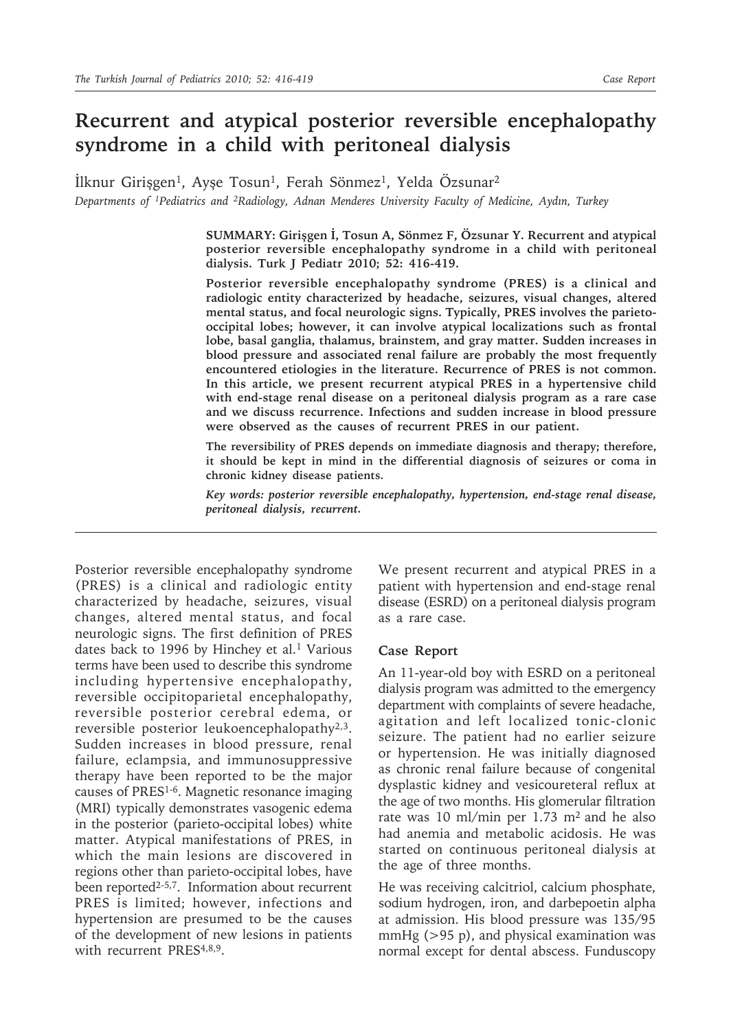## **Recurrent and atypical posterior reversible encephalopathy syndrome in a child with peritoneal dialysis**

İlknur Girişgen<sup>1</sup>, Ayşe Tosun<sup>1</sup>, Ferah Sönmez<sup>1</sup>, Yelda Özsunar<sup>2</sup>

*Departments of 1Pediatrics and 2Radiology, Adnan Menderes University Faculty of Medicine, Aydın, Turkey*

**SUMMARY: Girişgen İ, Tosun A, Sönmez F, Özsunar Y. Recurrent and atypical posterior reversible encephalopathy syndrome in a child with peritoneal dialysis. Turk J Pediatr 2010; 52: 416-419.**

**Posterior reversible encephalopathy syndrome (PRES) is a clinical and radiologic entity characterized by headache, seizures, visual changes, altered mental status, and focal neurologic signs. Typically, PRES involves the parietooccipital lobes; however, it can involve atypical localizations such as frontal lobe, basal ganglia, thalamus, brainstem, and gray matter. Sudden increases in blood pressure and associated renal failure are probably the most frequently encountered etiologies in the literature. Recurrence of PRES is not common. In this article, we present recurrent atypical PRES in a hypertensive child with end-stage renal disease on a peritoneal dialysis program as a rare case and we discuss recurrence. Infections and sudden increase in blood pressure were observed as the causes of recurrent PRES in our patient.**

**The reversibility of PRES depends on immediate diagnosis and therapy; therefore, it should be kept in mind in the differential diagnosis of seizures or coma in chronic kidney disease patients.**

*Key words: posterior reversible encephalopathy, hypertension, end-stage renal disease, peritoneal dialysis, recurrent.*

Posterior reversible encephalopathy syndrome (PRES) is a clinical and radiologic entity characterized by headache, seizures, visual changes, altered mental status, and focal neurologic signs. The first definition of PRES dates back to 1996 by Hinchey et al.<sup>1</sup> Various terms have been used to describe this syndrome including hypertensive encephalopathy, reversible occipitoparietal encephalopathy, reversible posterior cerebral edema, or reversible posterior leukoencephalopathy<sup>2,3</sup>. Sudden increases in blood pressure, renal failure, eclampsia, and immunosuppressive therapy have been reported to be the major causes of PRES1-6. Magnetic resonance imaging (MRI) typically demonstrates vasogenic edema in the posterior (parieto-occipital lobes) white matter. Atypical manifestations of PRES, in which the main lesions are discovered in regions other than parieto-occipital lobes, have been reported<sup>2-5,7</sup>. Information about recurrent PRES is limited; however, infections and hypertension are presumed to be the causes of the development of new lesions in patients with recurrent PRES<sup>4,8,9</sup>.

We present recurrent and atypical PRES in a patient with hypertension and end-stage renal disease (ESRD) on a peritoneal dialysis program as a rare case.

## **Case Report**

An 11-year-old boy with ESRD on a peritoneal dialysis program was admitted to the emergency department with complaints of severe headache, agitation and left localized tonic-clonic seizure. The patient had no earlier seizure or hypertension. He was initially diagnosed as chronic renal failure because of congenital dysplastic kidney and vesicoureteral reflux at the age of two months. His glomerular filtration rate was 10 ml/min per 1.73 m<sup>2</sup> and he also had anemia and metabolic acidosis. He was started on continuous peritoneal dialysis at the age of three months.

He was receiving calcitriol, calcium phosphate, sodium hydrogen, iron, and darbepoetin alpha at admission. His blood pressure was 135/95 mmHg  $(>95 p)$ , and physical examination was normal except for dental abscess. Funduscopy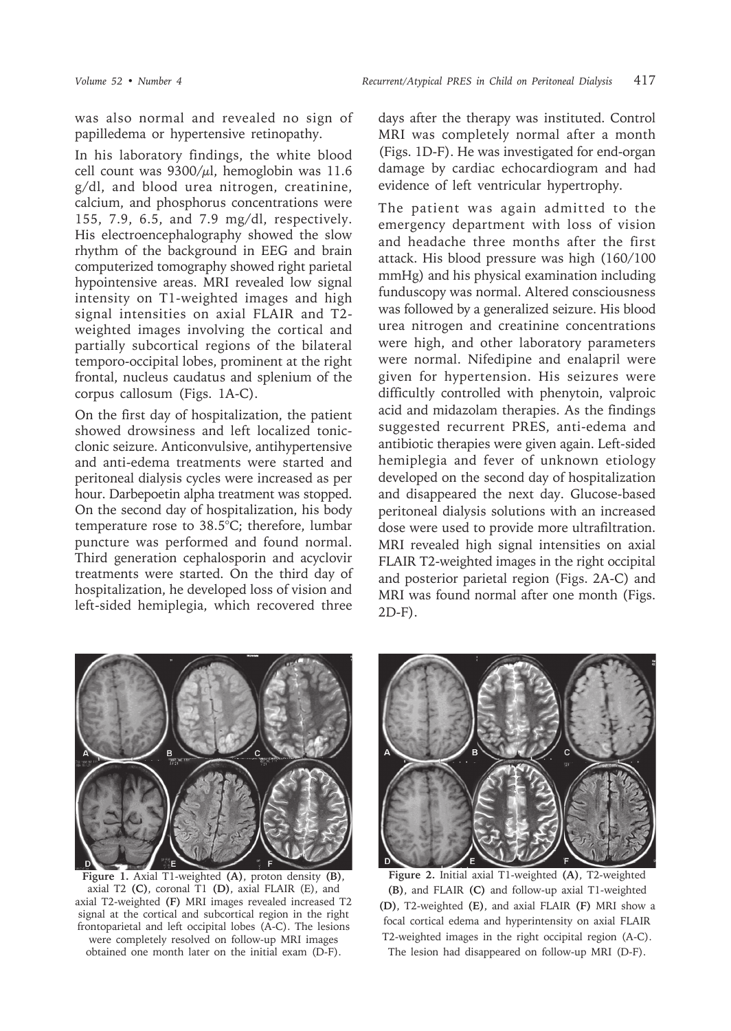was also normal and revealed no sign of papilledema or hypertensive retinopathy.

In his laboratory findings, the white blood cell count was  $9300/ul$ , hemoglobin was 11.6 g/dl, and blood urea nitrogen, creatinine, calcium, and phosphorus concentrations were 155, 7.9, 6.5, and 7.9 mg/dl, respectively. His electroencephalography showed the slow rhythm of the background in EEG and brain computerized tomography showed right parietal hypointensive areas. MRI revealed low signal intensity on T1-weighted images and high signal intensities on axial FLAIR and T2 weighted images involving the cortical and partially subcortical regions of the bilateral temporo-occipital lobes, prominent at the right frontal, nucleus caudatus and splenium of the corpus callosum (Figs. 1A-C).

On the first day of hospitalization, the patient showed drowsiness and left localized tonicclonic seizure. Anticonvulsive, antihypertensive and anti-edema treatments were started and peritoneal dialysis cycles were increased as per hour. Darbepoetin alpha treatment was stopped. On the second day of hospitalization, his body temperature rose to 38.5°C; therefore, lumbar puncture was performed and found normal. Third generation cephalosporin and acyclovir treatments were started. On the third day of hospitalization, he developed loss of vision and left-sided hemiplegia, which recovered three

days after the therapy was instituted. Control MRI was completely normal after a month (Figs. 1D-F). He was investigated for end-organ damage by cardiac echocardiogram and had evidence of left ventricular hypertrophy.

The patient was again admitted to the emergency department with loss of vision and headache three months after the first attack. His blood pressure was high (160/100 mmHg) and his physical examination including funduscopy was normal. Altered consciousness was followed by a generalized seizure. His blood urea nitrogen and creatinine concentrations were high, and other laboratory parameters were normal. Nifedipine and enalapril were given for hypertension. His seizures were difficultly controlled with phenytoin, valproic acid and midazolam therapies. As the findings suggested recurrent PRES, anti-edema and antibiotic therapies were given again. Left-sided hemiplegia and fever of unknown etiology developed on the second day of hospitalization and disappeared the next day. Glucose-based peritoneal dialysis solutions with an increased dose were used to provide more ultrafiltration. MRI revealed high signal intensities on axial FLAIR T2-weighted images in the right occipital and posterior parietal region (Figs. 2A-C) and MRI was found normal after one month (Figs. 2D-F).



**Figure 1.** Axial T1-weighted **(A)**, proton density **(B)**, axial T2 **(C)**, coronal T1 **(D)**, axial FLAIR (E), and axial T2-weighted **(F)** MRI images revealed increased T2 signal at the cortical and subcortical region in the right frontoparietal and left occipital lobes (A-C). The lesions were completely resolved on follow-up MRI images obtained one month later on the initial exam (D-F).



**Figure 2.** Initial axial T1-weighted **(A)**, T2-weighted **(B)**, and FLAIR **(C)** and follow-up axial T1-weighted **(D)**, T2-weighted **(E)**, and axial FLAIR **(F)** MRI show a focal cortical edema and hyperintensity on axial FLAIR T2-weighted images in the right occipital region (A-C). The lesion had disappeared on follow-up MRI (D-F).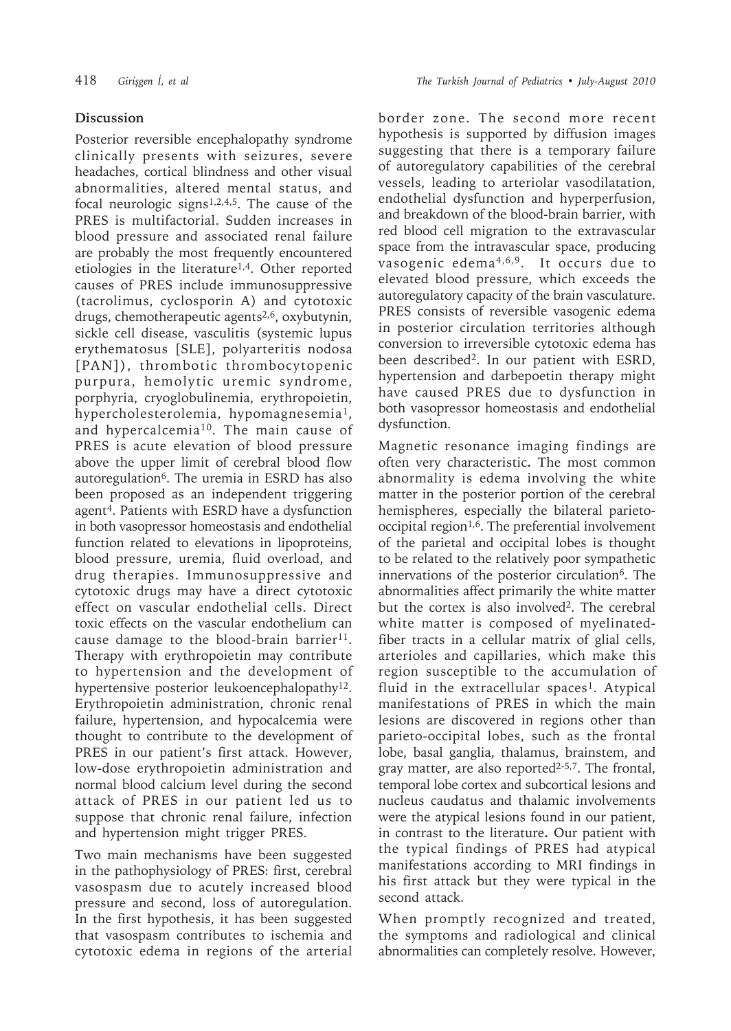## **Discussion**

Posterior reversible encephalopathy syndrome clinically presents with seizures, severe headaches, cortical blindness and other visual abnormalities, altered mental status, and focal neurologic signs $1,2,4,5$ . The cause of the PRES is multifactorial. Sudden increases in blood pressure and associated renal failure are probably the most frequently encountered etiologies in the literature1,4. Other reported causes of PRES include immunosuppressive (tacrolimus, cyclosporin A) and cytotoxic drugs, chemotherapeutic agents<sup>2,6</sup>, oxybutynin, sickle cell disease, vasculitis (systemic lupus erythematosus [SLE], polyarteritis nodosa [PAN]), thrombotic thrombocytopenic purpura, hemolytic uremic syndrome, porphyria, cryoglobulinemia, erythropoietin, hypercholesterolemia, hypomagnesemia<sup>1</sup>, and hypercalcemia<sup>10</sup>. The main cause of PRES is acute elevation of blood pressure above the upper limit of cerebral blood flow autoregulation<sup>6</sup>. The uremia in ESRD has also been proposed as an independent triggering agent4. Patients with ESRD have a dysfunction in both vasopressor homeostasis and endothelial function related to elevations in lipoproteins, blood pressure, uremia, fluid overload, and drug therapies. Immunosuppressive and cytotoxic drugs may have a direct cytotoxic effect on vascular endothelial cells. Direct toxic effects on the vascular endothelium can cause damage to the blood-brain barrier<sup>11</sup>. Therapy with erythropoietin may contribute to hypertension and the development of hypertensive posterior leukoencephalopathy<sup>12</sup>. Erythropoietin administration, chronic renal failure, hypertension, and hypocalcemia were thought to contribute to the development of PRES in our patient's first attack. However, low-dose erythropoietin administration and normal blood calcium level during the second attack of PRES in our patient led us to suppose that chronic renal failure, infection and hypertension might trigger PRES.

Two main mechanisms have been suggested in the pathophysiology of PRES: first, cerebral vasospasm due to acutely increased blood pressure and second, loss of autoregulation. In the first hypothesis, it has been suggested that vasospasm contributes to ischemia and cytotoxic edema in regions of the arterial

border zone. The second more recent hypothesis is supported by diffusion images suggesting that there is a temporary failure of autoregulatory capabilities of the cerebral vessels, leading to arteriolar vasodilatation, endothelial dysfunction and hyperperfusion, and breakdown of the blood-brain barrier, with red blood cell migration to the extravascular space from the intravascular space, producing vasogenic edema<sup>4,6,9</sup>. It occurs due to elevated blood pressure, which exceeds the autoregulatory capacity of the brain vasculature. PRES consists of reversible vasogenic edema in posterior circulation territories although conversion to irreversible cytotoxic edema has been described2. In our patient with ESRD, hypertension and darbepoetin therapy might have caused PRES due to dysfunction in both vasopressor homeostasis and endothelial dysfunction.

Magnetic resonance imaging findings are often very characteristic**.** The most common abnormality is edema involving the white matter in the posterior portion of the cerebral hemispheres, especially the bilateral parietooccipital region1,6. The preferential involvement of the parietal and occipital lobes is thought to be related to the relatively poor sympathetic innervations of the posterior circulation<sup>6</sup>. The abnormalities affect primarily the white matter but the cortex is also involved2. The cerebral white matter is composed of myelinatedfiber tracts in a cellular matrix of glial cells, arterioles and capillaries, which make this region susceptible to the accumulation of fluid in the extracellular spaces<sup>1</sup>. Atypical manifestations of PRES in which the main lesions are discovered in regions other than parieto-occipital lobes, such as the frontal lobe, basal ganglia, thalamus, brainstem, and gray matter, are also reported $2-5,7$ . The frontal, temporal lobe cortex and subcortical lesions and nucleus caudatus and thalamic involvements were the atypical lesions found in our patient, in contrast to the literature**.** Our patient with the typical findings of PRES had atypical manifestations according to MRI findings in his first attack but they were typical in the second attack.

When promptly recognized and treated, the symptoms and radiological and clinical abnormalities can completely resolve. However,